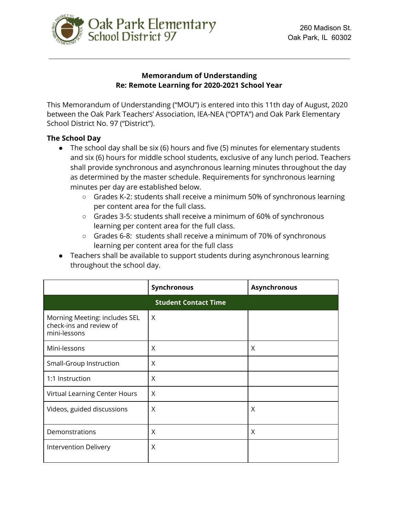

### **Memorandum of Understanding Re: Remote Learning for 2020-2021 School Year**

This Memorandum of Understanding ("MOU") is entered into this 11th day of August, 2020 between the Oak Park Teachers' Association, IEA-NEA ("OPTA") and Oak Park Elementary School District No. 97 ("District").

#### **The School Day**

- The school day shall be six (6) hours and five (5) minutes for elementary students and six (6) hours for middle school students, exclusive of any lunch period. Teachers shall provide synchronous and asynchronous learning minutes throughout the day as determined by the master schedule. Requirements for synchronous learning minutes per day are established below.
	- Grades K-2: students shall receive a minimum 50% of synchronous learning per content area for the full class.
	- Grades 3-5: students shall receive a minimum of 60% of synchronous learning per content area for the full class.
	- Grades 6-8: students shall receive a minimum of 70% of synchronous learning per content area for the full class
- Teachers shall be available to support students during asynchronous learning throughout the school day.

|                                                                          | Synchronous | <b>Asynchronous</b> |  |
|--------------------------------------------------------------------------|-------------|---------------------|--|
| <b>Student Contact Time</b>                                              |             |                     |  |
| Morning Meeting: includes SEL<br>check-ins and review of<br>mini-lessons | X           |                     |  |
| Mini-lessons                                                             | X           | X                   |  |
| Small-Group Instruction                                                  | X           |                     |  |
| 1:1 Instruction                                                          | X           |                     |  |
| Virtual Learning Center Hours                                            | X           |                     |  |
| Videos, guided discussions                                               | X           | X                   |  |
| Demonstrations                                                           | X           | X                   |  |
| Intervention Delivery                                                    | X           |                     |  |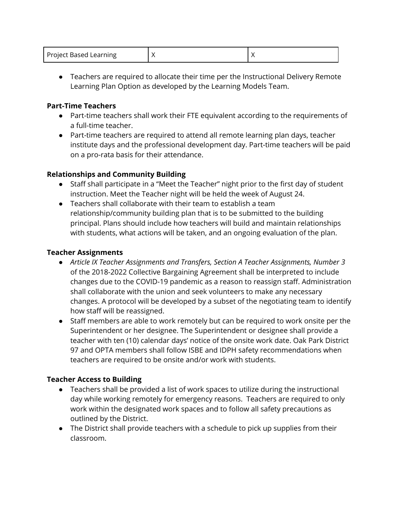| <b>Project Based Learning</b> |  |  |
|-------------------------------|--|--|
|-------------------------------|--|--|

● Teachers are required to allocate their time per the Instructional Delivery Remote Learning Plan Option as developed by the Learning Models Team.

### **Part-Time Teachers**

- Part-time teachers shall work their FTE equivalent according to the requirements of a full-time teacher.
- Part-time teachers are required to attend all remote learning plan days, teacher institute days and the professional development day. Part-time teachers will be paid on a pro-rata basis for their attendance.

## **Relationships and Community Building**

- Staff shall participate in a "Meet the Teacher" night prior to the first day of student instruction. Meet the Teacher night will be held the week of August 24.
- Teachers shall collaborate with their team to establish a team relationship/community building plan that is to be submitted to the building principal. Plans should include how teachers will build and maintain relationships with students, what actions will be taken, and an ongoing evaluation of the plan.

## **Teacher Assignments**

- *● Article IX Teacher Assignments and Transfers, Section A Teacher Assignments, Number 3* of the 2018-2022 Collective Bargaining Agreement shall be interpreted to include changes due to the COVID-19 pandemic as a reason to reassign staff. Administration shall collaborate with the union and seek volunteers to make any necessary changes. A protocol will be developed by a subset of the negotiating team to identify how staff will be reassigned.
- *●* Staff members are able to work remotely but can be required to work onsite per the Superintendent or her designee. The Superintendent or designee shall provide a teacher with ten (10) calendar days' notice of the onsite work date. Oak Park District 97 and OPTA members shall follow ISBE and IDPH safety recommendations when teachers are required to be onsite and/or work with students.

# **Teacher Access to Building**

- Teachers shall be provided a list of work spaces to utilize during the instructional day while working remotely for emergency reasons. Teachers are required to only work within the designated work spaces and to follow all safety precautions as outlined by the District.
- The District shall provide teachers with a schedule to pick up supplies from their classroom.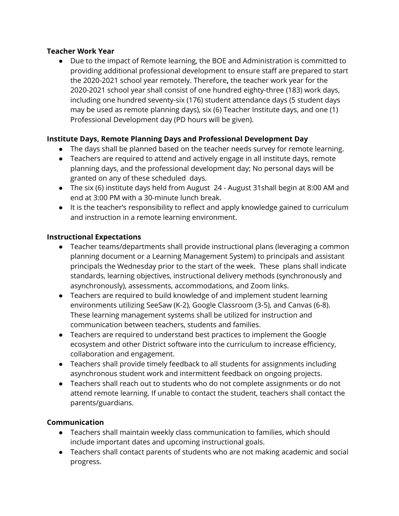### **Teacher Work Year**

● Due to the impact of Remote learning, the BOE and Administration is committed to providing additional professional development to ensure staff are prepared to start the 2020-2021 school year remotely. Therefore**,** the teacher work year for the 2020-2021 school year shall consist of one hundred eighty-three (183) work days, including one hundred seventy-six (176) student attendance days (5 student days may be used as remote planning days), six (6) Teacher Institute days, and one (1) Professional Development day (PD hours will be given).

## **Institute Days, Remote Planning Days and Professional Development Day**

- The days shall be planned based on the teacher needs survey for remote learning.
- Teachers are required to attend and actively engage in all institute days, remote planning days, and the professional development day; No personal days will be granted on any of these scheduled days.
- The six (6) institute days held from August 24 August 31shall begin at 8:00 AM and end at 3:00 PM with a 30-minute lunch break.
- It is the teacher's responsibility to reflect and apply knowledge gained to curriculum and instruction in a remote learning environment.

#### **Instructional Expectations**

- Teacher teams/departments shall provide instructional plans (leveraging a common planning document or a Learning Management System) to principals and assistant principals the Wednesday prior to the start of the week. These plans shall indicate standards, learning objectives, instructional delivery methods (synchronously and asynchronously), assessments, accommodations, and Zoom links.
- Teachers are required to build knowledge of and implement student learning environments utilizing SeeSaw (K-2), Google Classroom (3-5), and Canvas (6-8). These learning management systems shall be utilized for instruction and communication between teachers, students and families.
- Teachers are required to understand best practices to implement the Google ecosystem and other District software into the curriculum to increase efficiency, collaboration and engagement.
- Teachers shall provide timely feedback to all students for assignments including asynchronous student work and intermittent feedback on ongoing projects.
- Teachers shall reach out to students who do not complete assignments or do not attend remote learning. If unable to contact the student, teachers shall contact the parents/guardians.

### **Communication**

- Teachers shall maintain weekly class communication to families, which should include important dates and upcoming instructional goals.
- Teachers shall contact parents of students who are not making academic and social progress.